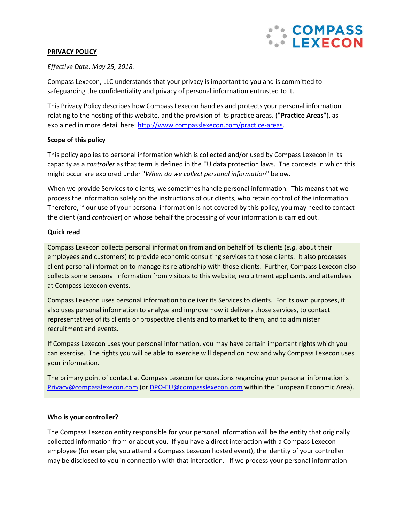

### **PRIVACY POLICY**

## *Effective Date: May 25, 2018.*

Compass Lexecon, LLC understands that your privacy is important to you and is committed to safeguarding the confidentiality and privacy of personal information entrusted to it.

This Privacy Policy describes how Compass Lexecon handles and protects your personal information relating to the hosting of this website, and the provision of its practice areas. (**"Practice Areas**"), as explained in more detail here: [http://www.compasslexecon.com/practice-areas.](http://www.compasslexecon.com/practice-areas)

## **Scope of this policy**

This policy applies to personal information which is collected and/or used by Compass Lexecon in its capacity as a *controller* as that term is defined in the EU data protection laws. The contexts in which this might occur are explored under "*When do we collect personal information*" below.

When we provide Services to clients, we sometimes handle personal information. This means that we process the information solely on the instructions of our clients, who retain control of the information. Therefore, if our use of your personal information is not covered by this policy, you may need to contact the client (and *controller*) on whose behalf the processing of your information is carried out.

### **Quick read**

Compass Lexecon collects personal information from and on behalf of its clients (*e.g.* about their employees and customers) to provide economic consulting services to those clients. It also processes client personal information to manage its relationship with those clients. Further, Compass Lexecon also collects some personal information from visitors to this website, recruitment applicants, and attendees at Compass Lexecon events.

Compass Lexecon uses personal information to deliver its Services to clients. For its own purposes, it also uses personal information to analyse and improve how it delivers those services, to contact representatives of its clients or prospective clients and to market to them, and to administer recruitment and events.

If Compass Lexecon uses your personal information, you may have certain important rights which you can exercise. The rights you will be able to exercise will depend on how and why Compass Lexecon uses your information.

The primary point of contact at Compass Lexecon for questions regarding your personal information is [Privacy@compasslexecon.com](mailto:privacy@compasslexecon.com) (or [DPO-EU@compasslexecon.com](mailto:DPO-EU@compasslexecon.com) within the European Economic Area).

### **Who is your controller?**

The Compass Lexecon entity responsible for your personal information will be the entity that originally collected information from or about you. If you have a direct interaction with a Compass Lexecon employee (for example, you attend a Compass Lexecon hosted event), the identity of your controller may be disclosed to you in connection with that interaction. If we process your personal information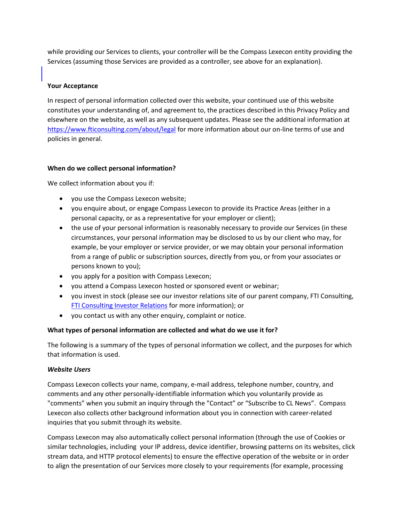while providing our Services to clients, your controller will be the Compass Lexecon entity providing the Services (assuming those Services are provided as a controller, see above for an explanation).

### **Your Acceptance**

In respect of personal information collected over this website, your continued use of this website constitutes your understanding of, and agreement to, the practices described in this Privacy Policy and elsewhere on the website, as well as any subsequent updates. Please see the additional information at <https://www.fticonsulting.com/about/legal> for more information about our on-line terms of use and policies in general.

## **When do we collect personal information?**

We collect information about you if:

- you use the Compass Lexecon website;
- you enquire about, or engage Compass Lexecon to provide its Practice Areas (either in a personal capacity, or as a representative for your employer or client);
- the use of your personal information is reasonably necessary to provide our Services (in these circumstances, your personal information may be disclosed to us by our client who may, for example, be your employer or service provider, or we may obtain your personal information from a range of public or subscription sources, directly from you, or from your associates or persons known to you);
- you apply for a position with Compass Lexecon;
- you attend a Compass Lexecon hosted or sponsored event or webinar;
- you invest in stock (please see our investor relations site of our parent company, FTI Consulting, [FTI Consulting Investor Relations](http://ir.fticonsulting.com/phoenix.zhtml?c=82634&p=irol-IRHome%5d%20) for more information); or
- you contact us with any other enquiry, complaint or notice.

# **What types of personal information are collected and what do we use it for?**

The following is a summary of the types of personal information we collect, and the purposes for which that information is used.

# *Website Users*

Compass Lexecon collects your name, company, e-mail address, telephone number, country, and comments and any other personally-identifiable information which you voluntarily provide as "comments" when you submit an inquiry through the "Contact" or "Subscribe to CL News". Compass Lexecon also collects other background information about you in connection with career-related inquiries that you submit through its website.

Compass Lexecon may also automatically collect personal information (through the use of Cookies or similar technologies, including your IP address, device identifier, browsing patterns on its websites, click stream data, and HTTP protocol elements) to ensure the effective operation of the website or in order to align the presentation of our Services more closely to your requirements (for example, processing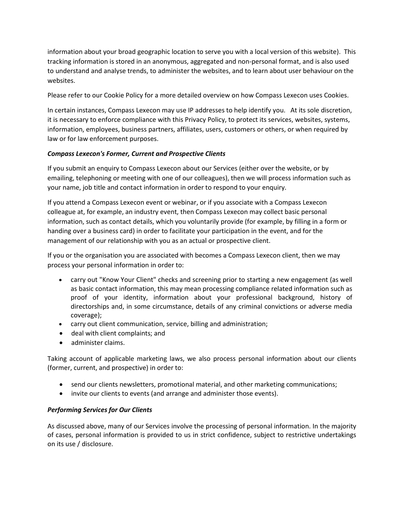information about your broad geographic location to serve you with a local version of this website). This tracking information is stored in an anonymous, aggregated and non-personal format, and is also used to understand and analyse trends, to administer the websites, and to learn about user behaviour on the websites.

Please refer to our Cookie Policy for a more detailed overview on how Compass Lexecon uses Cookies.

In certain instances, Compass Lexecon may use IP addresses to help identify you. At its sole discretion, it is necessary to enforce compliance with this Privacy Policy, to protect its services, websites, systems, information, employees, business partners, affiliates, users, customers or others, or when required by law or for law enforcement purposes.

## *Compass Lexecon's Former, Current and Prospective Clients*

If you submit an enquiry to Compass Lexecon about our Services (either over the website, or by emailing, telephoning or meeting with one of our colleagues), then we will process information such as your name, job title and contact information in order to respond to your enquiry.

If you attend a Compass Lexecon event or webinar, or if you associate with a Compass Lexecon colleague at, for example, an industry event, then Compass Lexecon may collect basic personal information, such as contact details, which you voluntarily provide (for example, by filling in a form or handing over a business card) in order to facilitate your participation in the event, and for the management of our relationship with you as an actual or prospective client.

If you or the organisation you are associated with becomes a Compass Lexecon client, then we may process your personal information in order to:

- carry out "Know Your Client" checks and screening prior to starting a new engagement (as well as basic contact information, this may mean processing compliance related information such as proof of your identity, information about your professional background, history of directorships and, in some circumstance, details of any criminal convictions or adverse media coverage);
- carry out client communication, service, billing and administration;
- deal with client complaints; and
- administer claims.

Taking account of applicable marketing laws, we also process personal information about our clients (former, current, and prospective) in order to:

- send our clients newsletters, promotional material, and other marketing communications;
- invite our clients to events (and arrange and administer those events).

### *Performing Services for Our Clients*

As discussed above, many of our Services involve the processing of personal information. In the majority of cases, personal information is provided to us in strict confidence, subject to restrictive undertakings on its use / disclosure.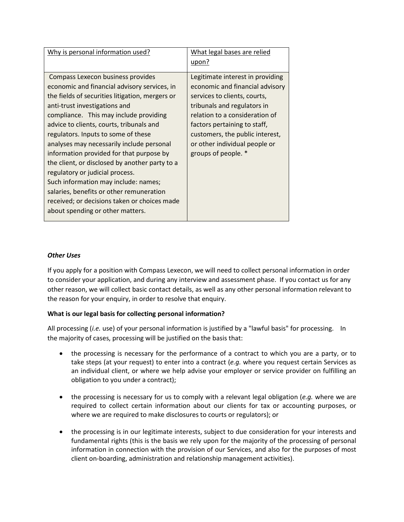| Why is personal information used?                                                                                                                                                                                                                                                                                                                                                                                                                                                                                                                                                                                                                        | What legal bases are relied<br>upon?                                                                                                                                                                                                                                                            |
|----------------------------------------------------------------------------------------------------------------------------------------------------------------------------------------------------------------------------------------------------------------------------------------------------------------------------------------------------------------------------------------------------------------------------------------------------------------------------------------------------------------------------------------------------------------------------------------------------------------------------------------------------------|-------------------------------------------------------------------------------------------------------------------------------------------------------------------------------------------------------------------------------------------------------------------------------------------------|
| Compass Lexecon business provides<br>economic and financial advisory services, in<br>the fields of securities litigation, mergers or<br>anti-trust investigations and<br>compliance. This may include providing<br>advice to clients, courts, tribunals and<br>regulators. Inputs to some of these<br>analyses may necessarily include personal<br>information provided for that purpose by<br>the client, or disclosed by another party to a<br>regulatory or judicial process.<br>Such information may include: names;<br>salaries, benefits or other remuneration<br>received; or decisions taken or choices made<br>about spending or other matters. | Legitimate interest in providing<br>economic and financial advisory<br>services to clients, courts,<br>tribunals and regulators in<br>relation to a consideration of<br>factors pertaining to staff,<br>customers, the public interest,<br>or other individual people or<br>groups of people. * |

## *Other Uses*

If you apply for a position with Compass Lexecon, we will need to collect personal information in order to consider your application, and during any interview and assessment phase. If you contact us for any other reason, we will collect basic contact details, as well as any other personal information relevant to the reason for your enquiry, in order to resolve that enquiry.

### **What is our legal basis for collecting personal information?**

All processing (*i.e.* use) of your personal information is justified by a "lawful basis" for processing. In the majority of cases, processing will be justified on the basis that:

- the processing is necessary for the performance of a contract to which you are a party, or to take steps (at your request) to enter into a contract (*e.g.* where you request certain Services as an individual client, or where we help advise your employer or service provider on fulfilling an obligation to you under a contract);
- the processing is necessary for us to comply with a relevant legal obligation (*e.g.* where we are required to collect certain information about our clients for tax or accounting purposes, or where we are required to make disclosures to courts or regulators); or
- the processing is in our legitimate interests, subject to due consideration for your interests and fundamental rights (this is the basis we rely upon for the majority of the processing of personal information in connection with the provision of our Services, and also for the purposes of most client on-boarding, administration and relationship management activities).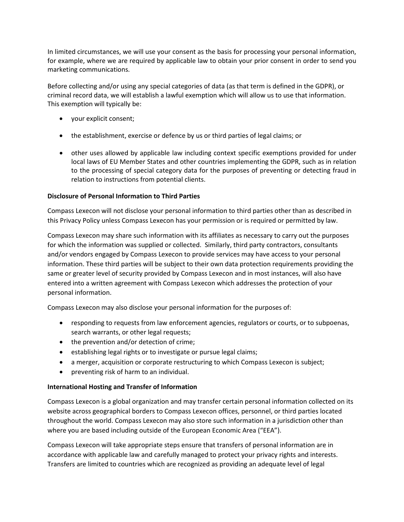In limited circumstances, we will use your consent as the basis for processing your personal information, for example, where we are required by applicable law to obtain your prior consent in order to send you marketing communications.

Before collecting and/or using any special categories of data (as that term is defined in the GDPR), or criminal record data, we will establish a lawful exemption which will allow us to use that information. This exemption will typically be:

- your explicit consent;
- the establishment, exercise or defence by us or third parties of legal claims; or
- other uses allowed by applicable law including context specific exemptions provided for under local laws of EU Member States and other countries implementing the GDPR, such as in relation to the processing of special category data for the purposes of preventing or detecting fraud in relation to instructions from potential clients.

### **Disclosure of Personal Information to Third Parties**

Compass Lexecon will not disclose your personal information to third parties other than as described in this Privacy Policy unless Compass Lexecon has your permission or is required or permitted by law.

Compass Lexecon may share such information with its affiliates as necessary to carry out the purposes for which the information was supplied or collected. Similarly, third party contractors, consultants and/or vendors engaged by Compass Lexecon to provide services may have access to your personal information. These third parties will be subject to their own data protection requirements providing the same or greater level of security provided by Compass Lexecon and in most instances, will also have entered into a written agreement with Compass Lexecon which addresses the protection of your personal information.

Compass Lexecon may also disclose your personal information for the purposes of:

- responding to requests from law enforcement agencies, regulators or courts, or to subpoenas, search warrants, or other legal requests;
- the prevention and/or detection of crime;
- establishing legal rights or to investigate or pursue legal claims;
- a merger, acquisition or corporate restructuring to which Compass Lexecon is subject;
- preventing risk of harm to an individual.

### **International Hosting and Transfer of Information**

Compass Lexecon is a global organization and may transfer certain personal information collected on its website across geographical borders to Compass Lexecon offices, personnel, or third parties located throughout the world. Compass Lexecon may also store such information in a jurisdiction other than where you are based including outside of the European Economic Area ("EEA").

Compass Lexecon will take appropriate steps ensure that transfers of personal information are in accordance with applicable law and carefully managed to protect your privacy rights and interests. Transfers are limited to countries which are recognized as providing an adequate level of legal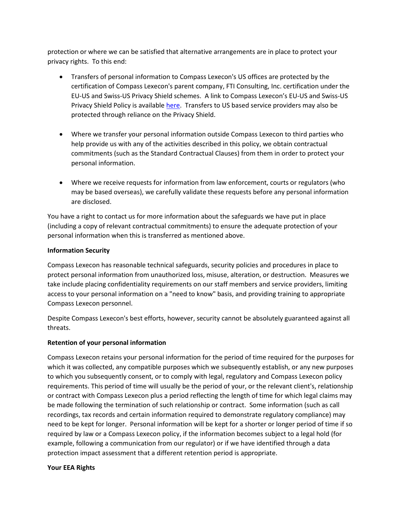protection or where we can be satisfied that alternative arrangements are in place to protect your privacy rights. To this end:

- Transfers of personal information to Compass Lexecon's US offices are protected by the certification of Compass Lexecon's parent company, FTI Consulting, Inc. certification under the EU-US and Swiss-US Privacy Shield schemes. A link to Compass Lexecon's EU-US and Swiss-US Privacy Shield Policy is available [here.](http://www.fticonsulting-emea.com/about/privacy-policy#SHIELD) Transfers to US based service providers may also be protected through reliance on the Privacy Shield.
- Where we transfer your personal information outside Compass Lexecon to third parties who help provide us with any of the activities described in this policy, we obtain contractual commitments (such as the Standard Contractual Clauses) from them in order to protect your personal information.
- Where we receive requests for information from law enforcement, courts or regulators (who may be based overseas), we carefully validate these requests before any personal information are disclosed.

You have a right to contact us for more information about the safeguards we have put in place (including a copy of relevant contractual commitments) to ensure the adequate protection of your personal information when this is transferred as mentioned above.

## **Information Security**

Compass Lexecon has reasonable technical safeguards, security policies and procedures in place to protect personal information from unauthorized loss, misuse, alteration, or destruction. Measures we take include placing confidentiality requirements on our staff members and service providers, limiting access to your personal information on a "need to know" basis, and providing training to appropriate Compass Lexecon personnel.

Despite Compass Lexecon's best efforts, however, security cannot be absolutely guaranteed against all threats.

# **Retention of your personal information**

Compass Lexecon retains your personal information for the period of time required for the purposes for which it was collected, any compatible purposes which we subsequently establish, or any new purposes to which you subsequently consent, or to comply with legal, regulatory and Compass Lexecon policy requirements. This period of time will usually be the period of your, or the relevant client's, relationship or contract with Compass Lexecon plus a period reflecting the length of time for which legal claims may be made following the termination of such relationship or contract. Some information (such as call recordings, tax records and certain information required to demonstrate regulatory compliance) may need to be kept for longer. Personal information will be kept for a shorter or longer period of time if so required by law or a Compass Lexecon policy, if the information becomes subject to a legal hold (for example, following a communication from our regulator) or if we have identified through a data protection impact assessment that a different retention period is appropriate.

### **Your EEA Rights**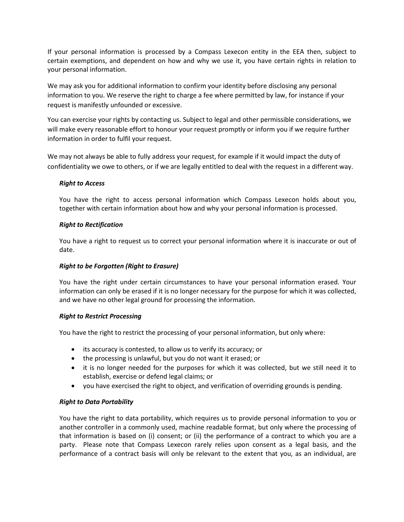If your personal information is processed by a Compass Lexecon entity in the EEA then, subject to certain exemptions, and dependent on how and why we use it, you have certain rights in relation to your personal information.

We may ask you for additional information to confirm your identity before disclosing any personal information to you. We reserve the right to charge a fee where permitted by law, for instance if your request is manifestly unfounded or excessive.

You can exercise your rights by contacting us. Subject to legal and other permissible considerations, we will make every reasonable effort to honour your request promptly or inform you if we require further information in order to fulfil your request.

We may not always be able to fully address your request, for example if it would impact the duty of confidentiality we owe to others, or if we are legally entitled to deal with the request in a different way.

## *Right to Access*

You have the right to access personal information which Compass Lexecon holds about you, together with certain information about how and why your personal information is processed.

## *Right to Rectification*

You have a right to request us to correct your personal information where it is inaccurate or out of date.

# *Right to be Forgotten (Right to Erasure)*

You have the right under certain circumstances to have your personal information erased. Your information can only be erased if it is no longer necessary for the purpose for which it was collected, and we have no other legal ground for processing the information.

### *Right to Restrict Processing*

You have the right to restrict the processing of your personal information, but only where:

- its accuracy is contested, to allow us to verify its accuracy; or
- the processing is unlawful, but you do not want it erased; or
- it is no longer needed for the purposes for which it was collected, but we still need it to establish, exercise or defend legal claims; or
- you have exercised the right to object, and verification of overriding grounds is pending.

### *Right to Data Portability*

You have the right to data portability, which requires us to provide personal information to you or another controller in a commonly used, machine readable format, but only where the processing of that information is based on (i) consent; or (ii) the performance of a contract to which you are a party. Please note that Compass Lexecon rarely relies upon consent as a legal basis, and the performance of a contract basis will only be relevant to the extent that you, as an individual, are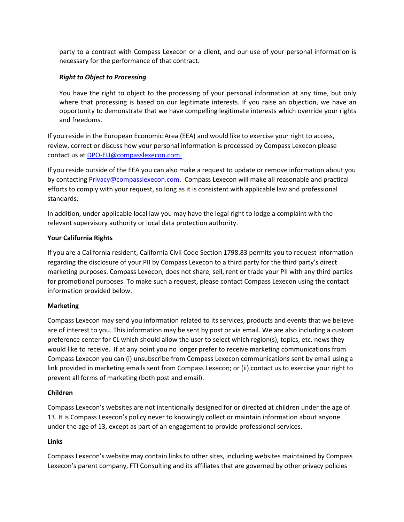party to a contract with Compass Lexecon or a client, and our use of your personal information is necessary for the performance of that contract.

## *Right to Object to Processing*

You have the right to object to the processing of your personal information at any time, but only where that processing is based on our legitimate interests. If you raise an objection, we have an opportunity to demonstrate that we have compelling legitimate interests which override your rights and freedoms.

If you reside in the European Economic Area (EEA) and would like to exercise your right to access, review, correct or discuss how your personal information is processed by Compass Lexecon please contact us at [DPO-EU@compasslexecon.com.](mailto:DPO-EU@compasslexecon.com)

If you reside outside of the EEA you can also make a request to update or remove information about you by contacting **[Privacy@compasslexecon.com.](mailto:privacy@compasslexecon.com)** Compass Lexecon will make all reasonable and practical efforts to comply with your request, so long as it is consistent with applicable law and professional standards.

In addition, under applicable local law you may have the legal right to lodge a complaint with the relevant supervisory authority or local data protection authority.

## **Your California Rights**

If you are a California resident, California Civil Code Section 1798.83 permits you to request information regarding the disclosure of your PII by Compass Lexecon to a third party for the third party's direct marketing purposes. Compass Lexecon, does not share, sell, rent or trade your PII with any third parties for promotional purposes. To make such a request, please contact Compass Lexecon using the contact information provided below.

### **Marketing**

Compass Lexecon may send you information related to its services, products and events that we believe are of interest to you. This information may be sent by post or via email. We are also including a custom preference center for CL which should allow the user to select which region(s), topics, etc. news they would like to receive. If at any point you no longer prefer to receive marketing communications from Compass Lexecon you can (i) unsubscribe from Compass Lexecon communications sent by email using a link provided in marketing emails sent from Compass Lexecon; or (ii) contact us to exercise your right to prevent all forms of marketing (both post and email).

### **Children**

Compass Lexecon's websites are not intentionally designed for or directed at children under the age of 13. It is Compass Lexecon's policy never to knowingly collect or maintain information about anyone under the age of 13, except as part of an engagement to provide professional services.

### **Links**

Compass Lexecon's website may contain links to other sites, including websites maintained by Compass Lexecon's parent company, FTI Consulting and its affiliates that are governed by other privacy policies